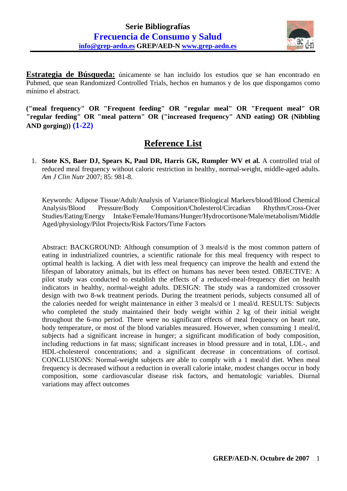

**Estrategia de Búsqueda:** únicamente se han incluido los estudios que se han encontrado en Pubmed, que sean Randomized Controlled Trials, hechos en humanos y de los que dispongamos como mínimo el abstract.

**("meal frequency" OR "Frequent feeding" OR "regular meal" OR "Frequent meal" OR "regular feeding" OR "meal pattern" OR ("increased frequency" AND eating) OR (Nibbling AND gorging)) (1-22)**

## **Reference List**

 1. **Stote KS, Baer DJ, Spears K, Paul DR, Harris GK, Rumpler WV et al.** A controlled trial of reduced meal frequency without caloric restriction in healthy, normal-weight, middle-aged adults. *Am J Clin Nutr* 2007; 85: 981-8.

Keywords: Adipose Tissue/Adult/Analysis of Variance/Biological Markers/blood/Blood Chemical Analysis/Blood Pressure/Body Composition/Cholesterol/Circadian Rhythm/Cross-Over Studies/Eating/Energy Intake/Female/Humans/Hunger/Hydrocortisone/Male/metabolism/Middle Aged/physiology/Pilot Projects/Risk Factors/Time Factors

Abstract: BACKGROUND: Although consumption of 3 meals/d is the most common pattern of eating in industrialized countries, a scientific rationale for this meal frequency with respect to optimal health is lacking. A diet with less meal frequency can improve the health and extend the lifespan of laboratory animals, but its effect on humans has never been tested. OBJECTIVE: A pilot study was conducted to establish the effects of a reduced-meal-frequency diet on health indicators in healthy, normal-weight adults. DESIGN: The study was a randomized crossover design with two 8-wk treatment periods. During the treatment periods, subjects consumed all of the calories needed for weight maintenance in either 3 meals/d or 1 meal/d. RESULTS: Subjects who completed the study maintained their body weight within 2 kg of their initial weight throughout the 6-mo period. There were no significant effects of meal frequency on heart rate, body temperature, or most of the blood variables measured. However, when consuming 1 meal/d, subjects had a significant increase in hunger; a significant modification of body composition, including reductions in fat mass; significant increases in blood pressure and in total, LDL-, and HDL-cholesterol concentrations; and a significant decrease in concentrations of cortisol. CONCLUSIONS: Normal-weight subjects are able to comply with a 1 meal/d diet. When meal frequency is decreased without a reduction in overall calorie intake, modest changes occur in body composition, some cardiovascular disease risk factors, and hematologic variables. Diurnal variations may affect outcomes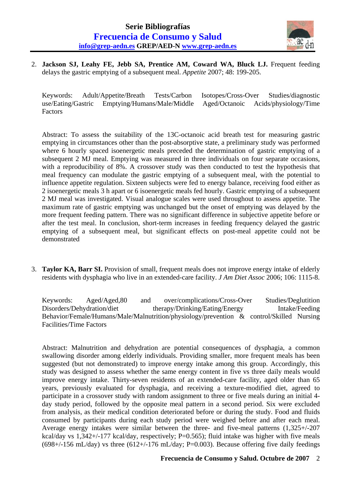

 2. **Jackson SJ, Leahy FE, Jebb SA, Prentice AM, Coward WA, Bluck LJ.** Frequent feeding delays the gastric emptying of a subsequent meal. *Appetite* 2007; 48: 199-205.

Keywords: Adult/Appetite/Breath Tests/Carbon Isotopes/Cross-Over Studies/diagnostic use/Eating/Gastric Emptying/Humans/Male/Middle Aged/Octanoic Acids/physiology/Time Factors

Abstract: To assess the suitability of the 13C-octanoic acid breath test for measuring gastric emptying in circumstances other than the post-absorptive state, a preliminary study was performed where 6 hourly spaced isoenergetic meals preceded the determination of gastric emptying of a subsequent 2 MJ meal. Emptying was measured in three individuals on four separate occasions, with a reproducibility of 8%. A crossover study was then conducted to test the hypothesis that meal frequency can modulate the gastric emptying of a subsequent meal, with the potential to influence appetite regulation. Sixteen subjects were fed to energy balance, receiving food either as 2 isoenergetic meals 3 h apart or 6 isoenergetic meals fed hourly. Gastric emptying of a subsequent 2 MJ meal was investigated. Visual analogue scales were used throughout to assess appetite. The maximum rate of gastric emptying was unchanged but the onset of emptying was delayed by the more frequent feeding pattern. There was no significant difference in subjective appetite before or after the test meal. In conclusion, short-term increases in feeding frequency delayed the gastric emptying of a subsequent meal, but significant effects on post-meal appetite could not be demonstrated

 3. **Taylor KA, Barr SI.** Provision of small, frequent meals does not improve energy intake of elderly residents with dysphagia who live in an extended-care facility. *J Am Diet Assoc* 2006; 106: 1115-8.

Keywords: Aged/Aged,80 and over/complications/Cross-Over Studies/Deglutition Disorders/Dehydration/diet therapy/Drinking/Eating/Energy Intake/Feeding Behavior/Female/Humans/Male/Malnutrition/physiology/prevention & control/Skilled Nursing Facilities/Time Factors

Abstract: Malnutrition and dehydration are potential consequences of dysphagia, a common swallowing disorder among elderly individuals. Providing smaller, more frequent meals has been suggested (but not demonstrated) to improve energy intake among this group. Accordingly, this study was designed to assess whether the same energy content in five vs three daily meals would improve energy intake. Thirty-seven residents of an extended-care facility, aged older than 65 years, previously evaluated for dysphagia, and receiving a texture-modified diet, agreed to participate in a crossover study with random assignment to three or five meals during an initial 4 day study period, followed by the opposite meal pattern in a second period. Six were excluded from analysis, as their medical condition deteriorated before or during the study. Food and fluids consumed by participants during each study period were weighed before and after each meal. Average energy intakes were similar between the three- and five-meal patterns (1,325+/-207 kcal/day vs 1,342+/-177 kcal/day, respectively; P=0.565); fluid intake was higher with five meals  $(698+/156 \text{ mL/day})$  vs three  $(612+/176 \text{ mL/day}; P=0.003)$ . Because offering five daily feedings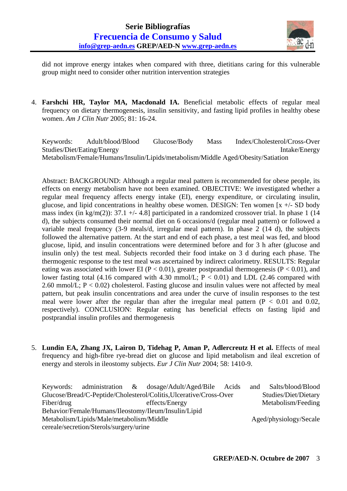

did not improve energy intakes when compared with three, dietitians caring for this vulnerable group might need to consider other nutrition intervention strategies

 4. **Farshchi HR, Taylor MA, Macdonald IA.** Beneficial metabolic effects of regular meal frequency on dietary thermogenesis, insulin sensitivity, and fasting lipid profiles in healthy obese women. *Am J Clin Nutr* 2005; 81: 16-24.

Keywords: Adult/blood/Blood Glucose/Body Mass Index/Cholesterol/Cross-Over Studies/Diet/Eating/Energy Intake/Energy Metabolism/Female/Humans/Insulin/Lipids/metabolism/Middle Aged/Obesity/Satiation

Abstract: BACKGROUND: Although a regular meal pattern is recommended for obese people, its effects on energy metabolism have not been examined. OBJECTIVE: We investigated whether a regular meal frequency affects energy intake (EI), energy expenditure, or circulating insulin, glucose, and lipid concentrations in healthy obese women. DESIGN: Ten women  $[x +/2]$  SD body mass index (in kg/m(2)):  $37.1 +$  - 4.8] participated in a randomized crossover trial. In phase 1 (14) d), the subjects consumed their normal diet on 6 occasions/d (regular meal pattern) or followed a variable meal frequency (3-9 meals/d, irregular meal pattern). In phase 2 (14 d), the subjects followed the alternative pattern. At the start and end of each phase, a test meal was fed, and blood glucose, lipid, and insulin concentrations were determined before and for 3 h after (glucose and insulin only) the test meal. Subjects recorded their food intake on 3 d during each phase. The thermogenic response to the test meal was ascertained by indirect calorimetry. RESULTS: Regular eating was associated with lower EI ( $P < 0.01$ ), greater postprandial thermogenesis ( $P < 0.01$ ), and lower fasting total (4.16 compared with 4.30 mmol/L;  $P < 0.01$ ) and LDL (2.46 compared with 2.60 mmol/L;  $P < 0.02$ ) cholesterol. Fasting glucose and insulin values were not affected by meal pattern, but peak insulin concentrations and area under the curve of insulin responses to the test meal were lower after the regular than after the irregular meal pattern ( $P < 0.01$  and 0.02, respectively). CONCLUSION: Regular eating has beneficial effects on fasting lipid and postprandial insulin profiles and thermogenesis

 5. **Lundin EA, Zhang JX, Lairon D, Tidehag P, Aman P, Adlercreutz H et al.** Effects of meal frequency and high-fibre rye-bread diet on glucose and lipid metabolism and ileal excretion of energy and sterols in ileostomy subjects. *Eur J Clin Nutr* 2004; 58: 1410-9.

|                                          |                                         |  | Keywords: administration & dosage/Adult/Aged/Bile Acids            |  | and | Salts/blood/Blood      |
|------------------------------------------|-----------------------------------------|--|--------------------------------------------------------------------|--|-----|------------------------|
|                                          |                                         |  | Glucose/Bread/C-Peptide/Cholesterol/Colitis, Ulcerative/Cross-Over |  |     | Studies/Diet/Dietary   |
| Fiber/drug                               |                                         |  | effects/Energy                                                     |  |     | Metabolism/Feeding     |
|                                          |                                         |  | Behavior/Female/Humans/Ileostomy/Ileum/Insulin/Lipid               |  |     |                        |
| Metabolism/Lipids/Male/metabolism/Middle |                                         |  |                                                                    |  |     | Aged/physiology/Secale |
|                                          | cereale/secretion/Sterols/surgery/urine |  |                                                                    |  |     |                        |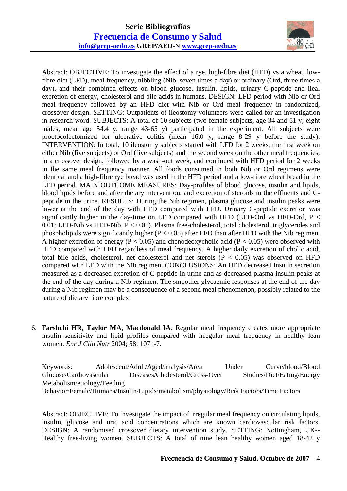

Abstract: OBJECTIVE: To investigate the effect of a rye, high-fibre diet (HFD) vs a wheat, lowfibre diet (LFD), meal frequency, nibbling (Nib, seven times a day) or ordinary (Ord, three times a day), and their combined effects on blood glucose, insulin, lipids, urinary C-peptide and ileal excretion of energy, cholesterol and bile acids in humans. DESIGN: LFD period with Nib or Ord meal frequency followed by an HFD diet with Nib or Ord meal frequency in randomized, crossover design. SETTING: Outpatients of ileostomy volunteers were called for an investigation in research word. SUBJECTS: A total of 10 subjects (two female subjects, age 34 and 51 y; eight males, mean age 54.4 y, range 43-65 y) participated in the experiment. All subjects were proctocolectomized for ulcerative colitis (mean 16.0 y, range 8-29 y before the study). INTERVENTION: In total, 10 ileostomy subjects started with LFD for 2 weeks, the first week on either Nib (five subjects) or Ord (five subjects) and the second week on the other meal frequencies, in a crossover design, followed by a wash-out week, and continued with HFD period for 2 weeks in the same meal frequency manner. All foods consumed in both Nib or Ord regimens were identical and a high-fibre rye bread was used in the HFD period and a low-fibre wheat bread in the LFD period. MAIN OUTCOME MEASURES: Day-profiles of blood glucose, insulin and lipids, blood lipids before and after dietary intervention, and excretion of steroids in the effluents and Cpeptide in the urine. RESULTS: During the Nib regimen, plasma glucose and insulin peaks were lower at the end of the day with HFD compared with LFD. Urinary C-peptide excretion was significantly higher in the day-time on LFD compared with HFD (LFD-Ord vs HFD-Ord,  $P <$ 0.01; LFD-Nib vs HFD-Nib, P < 0.01). Plasma free-cholesterol, total cholesterol, triglycerides and phospholipids were significantly higher ( $P < 0.05$ ) after LFD than after HFD with the Nib regimen. A higher excretion of energy ( $P < 0.05$ ) and chenodeoxycholic acid ( $P < 0.05$ ) were observed with HFD compared with LFD regardless of meal frequency. A higher daily excretion of cholic acid, total bile acids, cholesterol, net cholesterol and net sterols  $(P < 0.05)$  was observed on HFD compared with LFD with the Nib regimen. CONCLUSIONS: An HFD decreased insulin secretion measured as a decreased excretion of C-peptide in urine and as decreased plasma insulin peaks at the end of the day during a Nib regimen. The smoother glycaemic responses at the end of the day during a Nib regimen may be a consequence of a second meal phenomenon, possibly related to the nature of dietary fibre complex

 6. **Farshchi HR, Taylor MA, Macdonald IA.** Regular meal frequency creates more appropriate insulin sensitivity and lipid profiles compared with irregular meal frequency in healthy lean women. *Eur J Clin Nutr* 2004; 58: 1071-7.

Keywords: Adolescent/Adult/Aged/analysis/Area Under Curve/blood/Blood Glucose/Cardiovascular Diseases/Cholesterol/Cross-Over Studies/Diet/Eating/Energy Metabolism/etiology/Feeding Behavior/Female/Humans/Insulin/Lipids/metabolism/physiology/Risk Factors/Time Factors

Abstract: OBJECTIVE: To investigate the impact of irregular meal frequency on circulating lipids, insulin, glucose and uric acid concentrations which are known cardiovascular risk factors. DESIGN: A randomised crossover dietary intervention study. SETTING: Nottingham, UK-- Healthy free-living women. SUBJECTS: A total of nine lean healthy women aged 18-42 y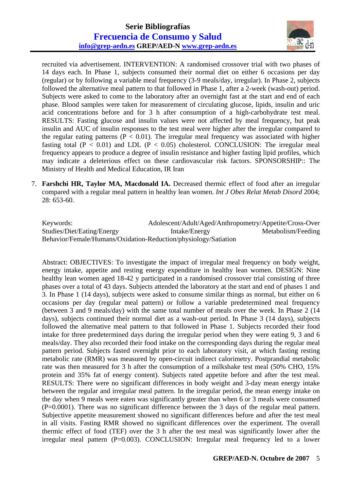

recruited via advertisement. INTERVENTION: A randomised crossover trial with two phases of 14 days each. In Phase 1, subjects consumed their normal diet on either 6 occasions per day (regular) or by following a variable meal frequency (3-9 meals/day, irregular). In Phase 2, subjects followed the alternative meal pattern to that followed in Phase 1, after a 2-week (wash-out) period. Subjects were asked to come to the laboratory after an overnight fast at the start and end of each phase. Blood samples were taken for measurement of circulating glucose, lipids, insulin and uric acid concentrations before and for 3 h after consumption of a high-carbohydrate test meal. RESULTS: Fasting glucose and insulin values were not affected by meal frequency, but peak insulin and AUC of insulin responses to the test meal were higher after the irregular compared to the regular eating patterns ( $P < 0.01$ ). The irregular meal frequency was associated with higher fasting total ( $P < 0.01$ ) and LDL ( $P < 0.05$ ) cholesterol. CONCLUSION: The irregular meal frequency appears to produce a degree of insulin resistance and higher fasting lipid profiles, which may indicate a deleterious effect on these cardiovascular risk factors. SPONSORSHIP:: The Ministry of Health and Medical Education, IR Iran

 7. **Farshchi HR, Taylor MA, Macdonald IA.** Decreased thermic effect of food after an irregular compared with a regular meal pattern in healthy lean women. *Int J Obes Relat Metab Disord* 2004; 28: 653-60.

Keywords: Adolescent/Adult/Aged/Anthropometry/Appetite/Cross-Over Studies/Diet/Eating/Energy Intake/Energy Metabolism/Feeding Behavior/Female/Humans/Oxidation-Reduction/physiology/Satiation

Abstract: OBJECTIVES: To investigate the impact of irregular meal frequency on body weight, energy intake, appetite and resting energy expenditure in healthy lean women. DESIGN: Nine healthy lean women aged 18-42 y participated in a randomised crossover trial consisting of three phases over a total of 43 days. Subjects attended the laboratory at the start and end of phases 1 and 3. In Phase 1 (14 days), subjects were asked to consume similar things as normal, but either on 6 occasions per day (regular meal pattern) or follow a variable predetermined meal frequency (between 3 and 9 meals/day) with the same total number of meals over the week. In Phase 2 (14 days), subjects continued their normal diet as a wash-out period. In Phase 3 (14 days), subjects followed the alternative meal pattern to that followed in Phase 1. Subjects recorded their food intake for three predetermined days during the irregular period when they were eating 9, 3 and 6 meals/day. They also recorded their food intake on the corresponding days during the regular meal pattern period. Subjects fasted overnight prior to each laboratory visit, at which fasting resting metabolic rate (RMR) was measured by open-circuit indirect calorimetry. Postprandial metabolic rate was then measured for 3 h after the consumption of a milkshake test meal (50% CHO, 15% protein and 35% fat of energy content). Subjects rated appetite before and after the test meal. RESULTS: There were no significant differences in body weight and 3-day mean energy intake between the regular and irregular meal pattern. In the irregular period, the mean energy intake on the day when 9 meals were eaten was significantly greater than when 6 or 3 meals were consumed (P=0.0001). There was no significant difference between the 3 days of the regular meal pattern. Subjective appetite measurement showed no significant differences before and after the test meal in all visits. Fasting RMR showed no significant differences over the experiment. The overall thermic effect of food (TEF) over the 3 h after the test meal was significantly lower after the irregular meal pattern (P=0.003). CONCLUSION: Irregular meal frequency led to a lower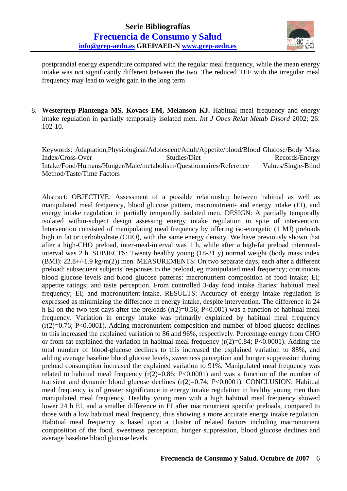

postprandial energy expenditure compared with the regular meal frequency, while the mean energy intake was not significantly different between the two. The reduced TEF with the irregular meal frequency may lead to weight gain in the long term

 8. **Westerterp-Plantenga MS, Kovacs EM, Melanson KJ.** Habitual meal frequency and energy intake regulation in partially temporally isolated men. *Int J Obes Relat Metab Disord* 2002; 26: 102-10.

Keywords: Adaptation,Physiological/Adolescent/Adult/Appetite/blood/Blood Glucose/Body Mass Index/Cross-Over Studies/Diet Records/Energy Intake/Food/Humans/Hunger/Male/metabolism/Questionnaires/Reference Values/Single-Blind Method/Taste/Time Factors

Abstract: OBJECTIVE: Assessment of a possible relationship between habitual as well as manipulated meal frequency, blood glucose pattern, macronutrient- and energy intake (EI), and energy intake regulation in partially temporally isolated men. DESIGN: A partially temporally isolated within-subject design assessing energy intake regulation in spite of intervention. Intervention consisted of manipulating meal frequency by offering iso-energetic (1 MJ) preloads high in fat or carbohydrate (CHO), with the same energy density. We have previously shown that after a high-CHO preload, inter-meal-interval was 1 h, while after a high-fat preload intermealinterval was 2 h. SUBJECTS: Twenty healthy young (18-31 y) normal weight (body mass index (BMI): 22.8+/-1.9 kg/m(2)) men. MEASUREMENTS: On two separate days, each after a different preload: subsequent subjects' responses to the preload, eg manipulated meal frequency; continuous blood glucose levels and blood glucose patterns: macronutrient composition of food intake; EI; appetite ratings; and taste perception. From controlled 3-day food intake diaries: habitual meal frequency; EI; and macronutrient-intake. RESULTS: Accuracy of energy intake regulation is expressed as minimizing the difference in energy intake, despite intervention. The difference in 24 h EI on the two test days after the preloads  $(r(2)=0.56; P<0.001)$  was a function of habitual meal frequency. Variation in energy intake was primarily explained by habitual meal frequency  $(r(2)=0.76; P<0.0001)$ . Adding macronutrient composition and number of blood glucose declines to this increased the explained variation to 86 and 96%, respectively. Percentage energy from CHO or from fat explained the variation in habitual meal frequency  $(r(2)=0.84; P<0.0001)$ . Adding the total number of blood-glucose declines to this increased the explained variation to 88%, and adding average baseline blood glucose levels, sweetness perception and hunger suppression during preload consumption increased the explained variation to 91%. Manipulated meal frequency was related to habitual meal frequency  $(r(2)=0.86; P<0.0001)$  and was a function of the number of transient and dynamic blood glucose declines  $(r(2)=0.74; P<0.0001)$ . CONCLUSION: Habitual meal frequency is of greater significance in energy intake regulation in healthy young men than manipulated meal frequency. Healthy young men with a high habitual meal frequency showed lower 24 h EI, and a smaller difference in EI after macronutrient specific preloads, compared to those with a low habitual meal frequency, thus showing a more accurate energy intake regulation. Habitual meal frequency is based upon a cluster of related factors including macronutrient composition of the food, sweetness perception, hunger suppression, blood glucose declines and average baseline blood glucose levels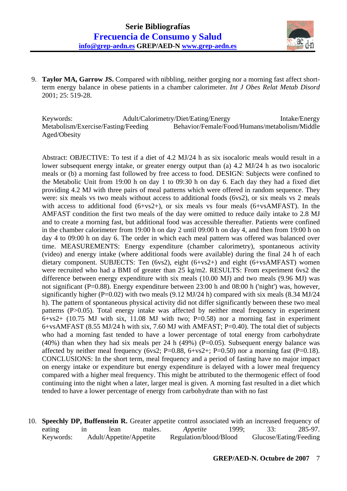

 9. **Taylor MA, Garrow JS.** Compared with nibbling, neither gorging nor a morning fast affect shortterm energy balance in obese patients in a chamber calorimeter. *Int J Obes Relat Metab Disord* 2001; 25: 519-28.

Keywords: Adult/Calorimetry/Diet/Eating/Energy Intake/Energy Metabolism/Exercise/Fasting/Feeding Behavior/Female/Food/Humans/metabolism/Middle Aged/Obesity

Abstract: OBJECTIVE: To test if a diet of 4.2 MJ/24 h as six isocaloric meals would result in a lower subsequent energy intake, or greater energy output than (a) 4.2 MJ/24 h as two isocaloric meals or (b) a morning fast followed by free access to food. DESIGN: Subjects were confined to the Metabolic Unit from 19:00 h on day 1 to 09:30 h on day 6. Each day they had a fixed diet providing 4.2 MJ with three pairs of meal patterns which were offered in random sequence. They were: six meals vs two meals without access to additional foods (6vs2), or six meals vs 2 meals with access to additional food  $(6+vs2+)$ , or six meals vs four meals  $(6+vsAMFAST)$ . In the AMFAST condition the first two meals of the day were omitted to reduce daily intake to 2.8 MJ and to create a morning fast, but additional food was accessible thereafter. Patients were confined in the chamber calorimeter from 19:00 h on day 2 until 09:00 h on day 4, and then from 19:00 h on day 4 to 09:00 h on day 6. The order in which each meal pattern was offered was balanced over time. MEASUREMENTS: Energy expenditure (chamber calorimetry), spontaneous activity (video) and energy intake (where additional foods were available) during the final 24 h of each dietary component. SUBJECTS: Ten (6vs2), eight (6+vs2+) and eight (6+vsAMFAST) women were recruited who had a BMI of greater than 25 kg/m2. RESULTS: From experiment 6vs2 the difference between energy expenditure with six meals (10.00 MJ) and two meals (9.96 MJ) was not significant (P=0.88). Energy expenditure between 23:00 h and 08:00 h ('night') was, however, significantly higher (P=0.02) with two meals (9.12 MJ/24 h) compared with six meals (8.34 MJ/24 h). The pattern of spontaneous physical activity did not differ significantly between these two meal patterns (P>0.05). Total energy intake was affected by neither meal frequency in experiment  $6+ys2+$  (10.75 MJ with six, 11.08 MJ with two; P=0.58) nor a morning fast in experiment 6+vsAMFAST (8.55 MJ/24 h with six, 7.60 MJ with AMFAST; P=0.40). The total diet of subjects who had a morning fast tended to have a lower percentage of total energy from carbohydrate (40%) than when they had six meals per 24 h (49%) ( $P=0.05$ ). Subsequent energy balance was affected by neither meal frequency (6vs2; P=0.88, 6+vs2+; P=0.50) nor a morning fast (P=0.18). CONCLUSIONS: In the short term, meal frequency and a period of fasting have no major impact on energy intake or expenditure but energy expenditure is delayed with a lower meal frequency compared with a higher meal frequency. This might be attributed to the thermogenic effect of food continuing into the night when a later, larger meal is given. A morning fast resulted in a diet which tended to have a lower percentage of energy from carbohydrate than with no fast

 10. **Speechly DP, Buffenstein R.** Greater appetite control associated with an increased frequency of eating in lean males. *Appetite* 1999; 33: 285-97. Keywords: Adult/Appetite/Appetite Regulation/blood/Blood Glucose/Eating/Feeding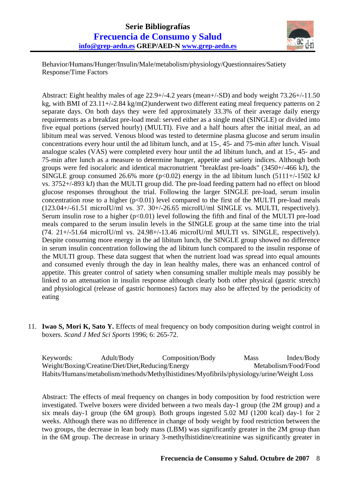

Behavior/Humans/Hunger/Insulin/Male/metabolism/physiology/Questionnaires/Satiety Response/Time Factors

Abstract: Eight healthy males of age 22.9+/-4.2 years (mean+/-SD) and body weight 73.26+/-11.50 kg, with BMI of 23.11+/-2.84 kg/m(2)underwent two different eating meal frequency patterns on 2 separate days. On both days they were fed approximately 33.3% of their average daily energy requirements as a breakfast pre-load meal: served either as a single meal (SINGLE) or divided into five equal portions (served hourly) (MULTI). Five and a half hours after the initial meal, an ad libitum meal was served. Venous blood was tested to determine plasma glucose and serum insulin concentrations every hour until the ad libitum lunch, and at 15-, 45- and 75-min after lunch. Visual analogue scales (VAS) were completed every hour until the ad libitum lunch, and at 15-, 45- and 75-min after lunch as a measure to determine hunger, appetite and satiety indices. Although both groups were fed isocaloric and identical macronutrient "breakfast pre-loads" (3450+/-466 kJ), the SINGLE group consumed 26.6% more  $(p<0.02)$  energy in the ad libitum lunch (5111+/-1502 kJ vs. 3752+/-893 kJ) than the MULTI group did. The pre-load feeding pattern had no effect on blood glucose responses throughout the trial. Following the larger SINGLE pre-load, serum insulin concentration rose to a higher  $(p<0.01)$  level compared to the first of the MULTI pre-load meals (123.04+/-61.51 microIU/ml vs. 37. 30+/-26.65 microIU/ml SINGLE vs. MULTI, respectively). Serum insulin rose to a higher  $(p<0.01)$  level following the fifth and final of the MULTI pre-load meals compared to the serum insulin levels in the SINGLE group at the same time into the trial (74. 21+/-51.64 microIU/ml vs. 24.98+/-13.46 microIU/ml MULTI vs. SINGLE, respectively). Despite consuming more energy in the ad libitum lunch, the SINGLE group showed no difference in serum insulin concentration following the ad libitum lunch compared to the insulin response of the MULTI group. These data suggest that when the nutrient load was spread into equal amounts and consumed evenly through the day in lean healthy males, there was an enhanced control of appetite. This greater control of satiety when consuming smaller multiple meals may possibly be linked to an attenuation in insulin response although clearly both other physical (gastric stretch) and physiological (release of gastric hormones) factors may also be affected by the periodicity of eating

 11. **Iwao S, Mori K, Sato Y.** Effects of meal frequency on body composition during weight control in boxers. *Scand J Med Sci Sports* 1996; 6: 265-72.

| Keywords: | Adult/Body                                       | Composition/Body                                                                          | Mass | Index/Body           |
|-----------|--------------------------------------------------|-------------------------------------------------------------------------------------------|------|----------------------|
|           | Weight/Boxing/Creatine/Diet/Diet,Reducing/Energy |                                                                                           |      | Metabolism/Food/Food |
|           |                                                  | Habits/Humans/metabolism/methods/Methylhistidines/Myofibrils/physiology/urine/Weight Loss |      |                      |

Abstract: The effects of meal frequency on changes in body composition by food restriction were investigated. Twelve boxers were divided between a two meals day-1 group (the 2M group) and a six meals day-1 group (the 6M group). Both groups ingested 5.02 MJ (1200 kcal) day-1 for 2 weeks. Although there was no difference in change of body weight by food restriction between the two groups, the decrease in lean body mass (LBM) was significantly greater in the 2M group than in the 6M group. The decrease in urinary 3-methylhistidine/creatinine was significantly greater in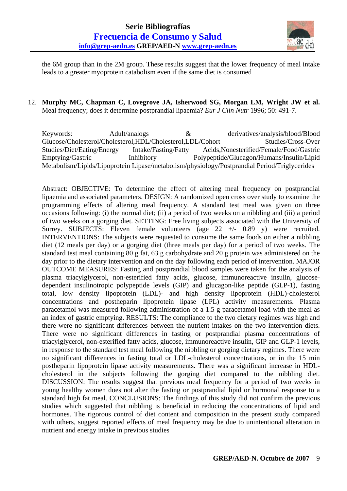

the 6M group than in the 2M group. These results suggest that the lower frequency of meal intake leads to a greater myoprotein catabolism even if the same diet is consumed

 12. **Murphy MC, Chapman C, Lovegrove JA, Isherwood SG, Morgan LM, Wright JW et al.** Meal frequency; does it determine postprandial lipaemia? *Eur J Clin Nutr* 1996; 50: 491-7.

Keywords: Adult/analogs & derivatives/analysis/blood/Blood Glucose/Cholesterol/Cholesterol,HDL/Cholesterol,LDL/Cohort Studies/Cross-Over Studies/Diet/Eating/Energy Intake/Fasting/Fatty Acids,Nonesterified/Female/Food/Gastric Emptying/Gastric Inhibitory Polypeptide/Glucagon/Humans/Insulin/Lipid Metabolism/Lipids/Lipoprotein Lipase/metabolism/physiology/Postprandial Period/Triglycerides

Abstract: OBJECTIVE: To determine the effect of altering meal frequency on postprandial lipaemia and associated parameters. DESIGN: A randomized open cross over study to examine the programming effects of altering meal frequency. A standard test meal was given on three occasions following: (i) the normal diet; (ii) a period of two weeks on a nibbling and (iii) a period of two weeks on a gorging diet. SETTING: Free living subjects associated with the University of Surrey. SUBJECTS: Eleven female volunteers (age 22 +/- 0.89 y) were recruited. INTERVENTIONS: The subjects were requested to consume the same foods on either a nibbling diet (12 meals per day) or a gorging diet (three meals per day) for a period of two weeks. The standard test meal containing 80 g fat, 63 g carbohydrate and 20 g protein was administered on the day prior to the dietary intervention and on the day following each period of intervention. MAJOR OUTCOME MEASURES: Fasting and postprandial blood samples were taken for the analysis of plasma triacylglycerol, non-esterified fatty acids, glucose, immunoreactive insulin, glucosedependent insulinotropic polypeptide levels (GIP) and glucagon-like peptide (GLP-1), fasting total, low density lipoprotein (LDL)- and high density lipoprotein (HDL)-cholesterol concentrations and postheparin lipoprotein lipase (LPL) activity measurements. Plasma paracetamol was measured following administration of a 1.5 g paracetamol load with the meal as an index of gastric emptying. RESULTS: The compliance to the two dietary regimes was high and there were no significant differences between the nutrient intakes on the two intervention diets. There were no significant differences in fasting or postprandial plasma concentrations of triacylglycerol, non-esterified fatty acids, glucose, immunoreactive insulin, GIP and GLP-1 levels, in response to the standard test meal following the nibbling or gorging dietary regimes. There were no significant differences in fasting total or LDL-cholesterol concentrations, or in the 15 min postheparin lipoprotein lipase activity measurements. There was a significant increase in HDLcholesterol in the subjects following the gorging diet compared to the nibbling diet. DISCUSSION: The results suggest that previous meal frequency for a period of two weeks in young healthy women does not alter the fasting or postprandial lipid or hormonal response to a standard high fat meal. CONCLUSIONS: The findings of this study did not confirm the previous studies which suggested that nibbling is beneficial in reducing the concentrations of lipid and hormones. The rigorous control of diet content and composition in the present study compared with others, suggest reported effects of meal frequency may be due to unintentional alteration in nutrient and energy intake in previous studies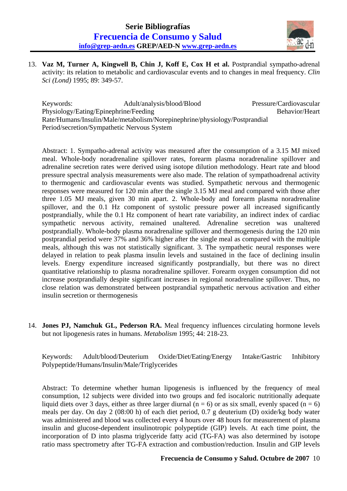

 13. **Vaz M, Turner A, Kingwell B, Chin J, Koff E, Cox H et al.** Postprandial sympatho-adrenal activity: its relation to metabolic and cardiovascular events and to changes in meal frequency. *Clin Sci (Lond)* 1995; 89: 349-57.

Keywords: Adult/analysis/blood/Blood Pressure/Cardiovascular Physiology/Eating/Epinephrine/Feeding Behavior/Heart Rate/Humans/Insulin/Male/metabolism/Norepinephrine/physiology/Postprandial Period/secretion/Sympathetic Nervous System

Abstract: 1. Sympatho-adrenal activity was measured after the consumption of a 3.15 MJ mixed meal. Whole-body noradrenaline spillover rates, forearm plasma noradrenaline spillover and adrenaline secretion rates were derived using isotope dilution methodology. Heart rate and blood pressure spectral analysis measurements were also made. The relation of sympathoadrenal activity to thermogenic and cardiovascular events was studied. Sympathetic nervous and thermogenic responses were measured for 120 min after the single 3.15 MJ meal and compared with those after three 1.05 MJ meals, given 30 min apart. 2. Whole-body and forearm plasma noradrenaline spillover, and the 0.1 Hz component of systolic pressure power all increased significantly postprandially, while the 0.1 Hz component of heart rate variability, an indirect index of cardiac sympathetic nervous activity, remained unaltered. Adrenaline secretion was unaltered postprandially. Whole-body plasma noradrenaline spillover and thermogenesis during the 120 min postprandial period were 37% and 36% higher after the single meal as compared with the multiple meals, although this was not statistically significant. 3. The sympathetic neural responses were delayed in relation to peak plasma insulin levels and sustained in the face of declining insulin levels. Energy expenditure increased significantly postprandially, but there was no direct quantitative relationship to plasma noradrenaline spillover. Forearm oxygen consumption did not increase postprandially despite significant increases in regional noradrenaline spillover. Thus, no close relation was demonstrated between postprandial sympathetic nervous activation and either insulin secretion or thermogenesis

 14. **Jones PJ, Namchuk GL, Pederson RA.** Meal frequency influences circulating hormone levels but not lipogenesis rates in humans. *Metabolism* 1995; 44: 218-23.

Keywords: Adult/blood/Deuterium Oxide/Diet/Eating/Energy Intake/Gastric Inhibitory Polypeptide/Humans/Insulin/Male/Triglycerides

Abstract: To determine whether human lipogenesis is influenced by the frequency of meal consumption, 12 subjects were divided into two groups and fed isocaloric nutritionally adequate liquid diets over 3 days, either as three larger diurnal ( $n = 6$ ) or as six small, evenly spaced ( $n = 6$ ) meals per day. On day 2 (08:00 h) of each diet period, 0.7 g deuterium (D) oxide/kg body water was administered and blood was collected every 4 hours over 48 hours for measurement of plasma insulin and glucose-dependent insulinotropic polypeptide (GIP) levels. At each time point, the incorporation of D into plasma triglyceride fatty acid (TG-FA) was also determined by isotope ratio mass spectrometry after TG-FA extraction and combustion/reduction. Insulin and GIP levels

## **Frecuencia de Consumo y Salud. Octubre de 2007** 10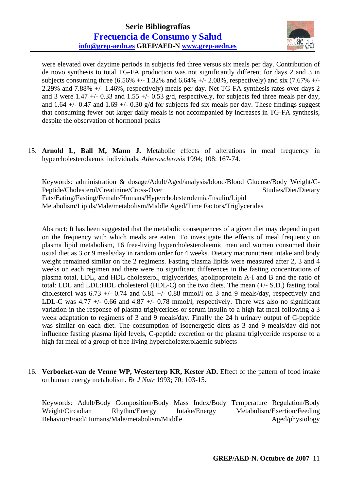

were elevated over daytime periods in subjects fed three versus six meals per day. Contribution of de novo synthesis to total TG-FA production was not significantly different for days 2 and 3 in subjects consuming three  $(6.56\% +/- 1.32\%$  and  $6.64\% +/- 2.08\%$ , respectively) and six  $(7.67\% +/-$ 2.29% and 7.88% +/- 1.46%, respectively) meals per day. Net TG-FA synthesis rates over days 2 and 3 were 1.47  $+/-$  0.33 and 1.55  $+/-$  0.53 g/d, respectively, for subjects fed three meals per day, and 1.64  $+/-$  0.47 and 1.69  $+/-$  0.30 g/d for subjects fed six meals per day. These findings suggest that consuming fewer but larger daily meals is not accompanied by increases in TG-FA synthesis, despite the observation of hormonal peaks

 15. **Arnold L, Ball M, Mann J.** Metabolic effects of alterations in meal frequency in hypercholesterolaemic individuals. *Atherosclerosis* 1994; 108: 167-74.

Keywords: administration & dosage/Adult/Aged/analysis/blood/Blood Glucose/Body Weight/C-Peptide/Cholesterol/Creatinine/Cross-Over Studies/Diet/Dietary Fats/Eating/Fasting/Female/Humans/Hypercholesterolemia/Insulin/Lipid Metabolism/Lipids/Male/metabolism/Middle Aged/Time Factors/Triglycerides

Abstract: It has been suggested that the metabolic consequences of a given diet may depend in part on the frequency with which meals are eaten. To investigate the effects of meal frequency on plasma lipid metabolism, 16 free-living hypercholesterolaemic men and women consumed their usual diet as 3 or 9 meals/day in random order for 4 weeks. Dietary macronutrient intake and body weight remained similar on the 2 regimens. Fasting plasma lipids were measured after 2, 3 and 4 weeks on each regimen and there were no significant differences in the fasting concentrations of plasma total, LDL, and HDL cholesterol, triglycerides, apolipoprotein A-I and B and the ratio of total: LDL and LDL:HDL cholesterol (HDL-C) on the two diets. The mean (+/- S.D.) fasting total cholesterol was  $6.73 +/- 0.74$  and  $6.81 +/- 0.88$  mmol/l on 3 and 9 meals/day, respectively and LDL-C was 4.77  $\pm$ /- 0.66 and 4.87  $\pm$ /- 0.78 mmol/l, respectively. There was also no significant variation in the response of plasma triglycerides or serum insulin to a high fat meal following a 3 week adaptation to regimens of 3 and 9 meals/day. Finally the 24 h urinary output of C-peptide was similar on each diet. The consumption of isoenergetic diets as 3 and 9 meals/day did not influence fasting plasma lipid levels, C-peptide excretion or the plasma triglyceride response to a high fat meal of a group of free living hypercholesterolaemic subjects

 16. **Verboeket-van de Venne WP, Westerterp KR, Kester AD.** Effect of the pattern of food intake on human energy metabolism. *Br J Nutr* 1993; 70: 103-15.

Keywords: Adult/Body Composition/Body Mass Index/Body Temperature Regulation/Body Weight/Circadian Rhythm/Energy Intake/Energy Metabolism/Exertion/Feeding Behavior/Food/Humans/Male/metabolism/Middle Aged/physiology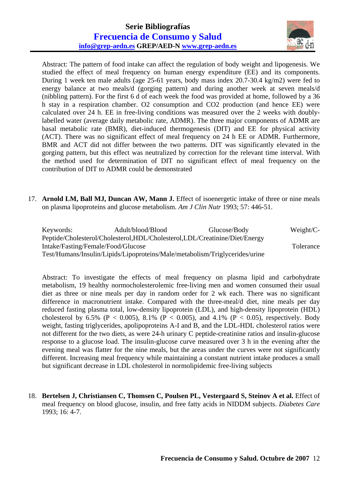## **Serie Bibliografías Frecuencia de Consumo y Salud info@grep-aedn.es GREP/AED-N www.grep-aedn.es**



Abstract: The pattern of food intake can affect the regulation of body weight and lipogenesis. We studied the effect of meal frequency on human energy expenditure (EE) and its components. During 1 week ten male adults (age 25-61 years, body mass index 20.7-30.4 kg/m2) were fed to energy balance at two meals/d (gorging pattern) and during another week at seven meals/d (nibbling pattern). For the first 6 d of each week the food was provided at home, followed by a 36 h stay in a respiration chamber. O2 consumption and CO2 production (and hence EE) were calculated over 24 h. EE in free-living conditions was measured over the 2 weeks with doublylabelled water (average daily metabolic rate, ADMR). The three major components of ADMR are basal metabolic rate (BMR), diet-induced thermogenesis (DIT) and EE for physical activity (ACT). There was no significant effect of meal frequency on 24 h EE or ADMR. Furthermore, BMR and ACT did not differ between the two patterns. DIT was significantly elevated in the gorging pattern, but this effect was neutralized by correction for the relevant time interval. With the method used for determination of DIT no significant effect of meal frequency on the contribution of DIT to ADMR could be demonstrated

 17. **Arnold LM, Ball MJ, Duncan AW, Mann J.** Effect of isoenergetic intake of three or nine meals on plasma lipoproteins and glucose metabolism. *Am J Clin Nutr* 1993; 57: 446-51.

| Keywords: | Adult/blood/Blood                                                           | Glucose/Body | Weight/ $C$ - |
|-----------|-----------------------------------------------------------------------------|--------------|---------------|
|           | Peptide/Cholesterol/Cholesterol,HDL/Cholesterol,LDL/Creatinine/Diet/Energy  |              |               |
|           | Intake/Fasting/Female/Food/Glucose                                          |              | Tolerance     |
|           | Test/Humans/Insulin/Lipids/Lipoproteins/Male/metabolism/Triglycerides/urine |              |               |

Abstract: To investigate the effects of meal frequency on plasma lipid and carbohydrate metabolism, 19 healthy normocholesterolemic free-living men and women consumed their usual diet as three or nine meals per day in random order for 2 wk each. There was no significant difference in macronutrient intake. Compared with the three-meal/d diet, nine meals per day reduced fasting plasma total, low-density lipoprotein (LDL), and high-density lipoprotein (HDL) cholesterol by 6.5% (P < 0.005), 8.1% (P < 0.005), and 4.1% (P < 0.05), respectively. Body weight, fasting triglycerides, apolipoproteins A-I and B, and the LDL-HDL cholesterol ratios were not different for the two diets, as were 24-h urinary C peptide-creatinine ratios and insulin-glucose response to a glucose load. The insulin-glucose curve measured over 3 h in the evening after the evening meal was flatter for the nine meals, but the areas under the curves were not significantly different. Increasing meal frequency while maintaining a constant nutrient intake produces a small but significant decrease in LDL cholesterol in normolipidemic free-living subjects

 18. **Bertelsen J, Christiansen C, Thomsen C, Poulsen PL, Vestergaard S, Steinov A et al.** Effect of meal frequency on blood glucose, insulin, and free fatty acids in NIDDM subjects. *Diabetes Care* 1993; 16: 4-7.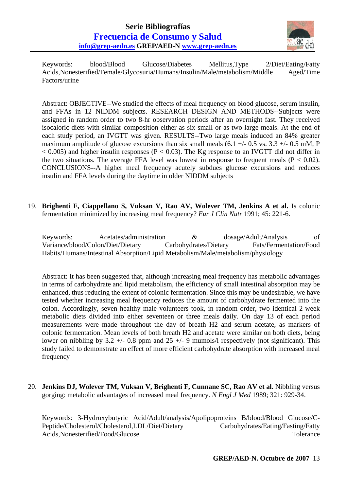

Keywords: blood/Blood Glucose/Diabetes Mellitus,Type 2/Diet/Eating/Fatty Acids,Nonesterified/Female/Glycosuria/Humans/Insulin/Male/metabolism/Middle Aged/Time Factors/urine

Abstract: OBJECTIVE--We studied the effects of meal frequency on blood glucose, serum insulin, and FFAs in 12 NIDDM subjects. RESEARCH DESIGN AND METHODS--Subjects were assigned in random order to two 8-hr observation periods after an overnight fast. They received isocaloric diets with similar composition either as six small or as two large meals. At the end of each study period, an IVGTT was given. RESULTS--Two large meals induced an 84% greater maximum amplitude of glucose excursions than six small meals  $(6.1 +/- 0.5$  vs.  $3.3 +/- 0.5$  mM, P  $< 0.005$ ) and higher insulin responses (P  $< 0.03$ ). The Kg response to an IVGTT did not differ in the two situations. The average FFA level was lowest in response to frequent meals  $(P < 0.02)$ . CONCLUSIONS--A higher meal frequency acutely subdues glucose excursions and reduces insulin and FFA levels during the daytime in older NIDDM subjects

 19. **Brighenti F, Ciappellano S, Vuksan V, Rao AV, Wolever TM, Jenkins A et al.** Is colonic fermentation minimized by increasing meal frequency? *Eur J Clin Nutr* 1991; 45: 221-6.

Keywords: Acetates/administration & dosage/Adult/Analysis of Variance/blood/Colon/Diet/Dietary Carbohydrates/Dietary Fats/Fermentation/Food Habits/Humans/Intestinal Absorption/Lipid Metabolism/Male/metabolism/physiology

Abstract: It has been suggested that, although increasing meal frequency has metabolic advantages in terms of carbohydrate and lipid metabolism, the efficiency of small intestinal absorption may be enhanced, thus reducing the extent of colonic fermentation. Since this may be undesirable, we have tested whether increasing meal frequency reduces the amount of carbohydrate fermented into the colon. Accordingly, seven healthy male volunteers took, in random order, two identical 2-week metabolic diets divided into either seventeen or three meals daily. On day 13 of each period measurements were made throughout the day of breath H2 and serum acetate, as markers of colonic fermentation. Mean levels of both breath H2 and acetate were similar on both diets, being lower on nibbling by 3.2 +/- 0.8 ppm and 25 +/- 9 mumols/l respectively (not significant). This study failed to demonstrate an effect of more efficient carbohydrate absorption with increased meal frequency

 20. **Jenkins DJ, Wolever TM, Vuksan V, Brighenti F, Cunnane SC, Rao AV et al.** Nibbling versus gorging: metabolic advantages of increased meal frequency. *N Engl J Med* 1989; 321: 929-34.

Keywords: 3-Hydroxybutyric Acid/Adult/analysis/Apolipoproteins B/blood/Blood Glucose/C-Peptide/Cholesterol/Cholesterol,LDL/Diet/Dietary Carbohydrates/Eating/Fasting/Fatty Acids,Nonesterified/Food/Glucose Tolerance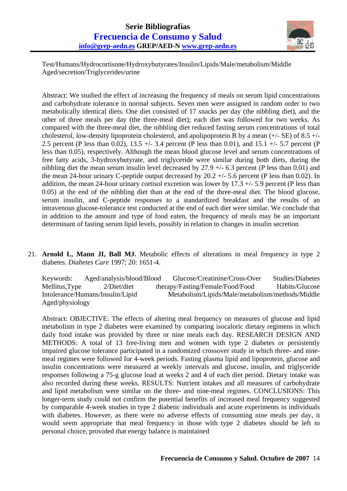

Test/Humans/Hydrocortisone/Hydroxybutyrates/Insulin/Lipids/Male/metabolism/Middle Aged/secretion/Triglycerides/urine

Abstract: We studied the effect of increasing the frequency of meals on serum lipid concentrations and carbohydrate tolerance in normal subjects. Seven men were assigned in random order to two metabolically identical diets. One diet consisted of 17 snacks per day (the nibbling diet), and the other of three meals per day (the three-meal diet); each diet was followed for two weeks. As compared with the three-meal diet, the nibbling diet reduced fasting serum concentrations of total cholesterol, low-density lipoprotein cholesterol, and apolipoprotein B by a mean  $(+/-$  SE) of 8.5  $+/-$ 2.5 percent (P less than 0.02), 13.5 +/- 3.4 percent (P less than 0.01), and 15.1 +/- 5.7 percent (P less than 0.05), respectively. Although the mean blood glucose level and serum concentrations of free fatty acids, 3-hydroxybutyrate, and triglyceride were similar during both diets, during the nibbling diet the mean serum insulin level decreased by 27.9 +/- 6.3 percent (P less than 0.01) and the mean 24-hour urinary C-peptide output decreased by 20.2 +/- 5.6 percent (P less than 0.02). In addition, the mean 24-hour urinary cortisol excretion was lower by  $17.3 +/- 5.9$  percent (P less than 0.05) at the end of the nibbling diet than at the end of the three-meal diet. The blood glucose, serum insulin, and C-peptide responses to a standardized breakfast and the results of an intravenous glucose-tolerance test conducted at the end of each diet were similar. We conclude that in addition to the amount and type of food eaten, the frequency of meals may be an important determinant of fasting serum lipid levels, possibly in relation to changes in insulin secretion

 21. **Arnold L, Mann JI, Ball MJ.** Metabolic effects of alterations in meal frequency in type 2 diabetes. *Diabetes Care* 1997; 20: 1651-4.

Keywords: Aged/analysis/blood/Blood Glucose/Creatinine/Cross-Over Studies/Diabetes Mellitus,Type 2/Diet/diet therapy/Fasting/Female/Food/Food Habits/Glucose Intolerance/Humans/Insulin/Lipid Metabolism/Lipids/Male/metabolism/methods/Middle Aged/physiology

Abstract: OBJECTIVE: The effects of altering meal frequency on measures of glucose and lipid metabolism in type 2 diabetes were examined by comparing isocaloric dietary regimens in which daily food intake was provided by three or nine meals each day. RESEARCH DESIGN AND METHODS: A total of 13 free-living men and women with type 2 diabetes or persistently impaired glucose tolerance participated in a randomized crossover study in which three- and ninemeal regimes were followed for 4-week periods. Fasting plasma lipid and lipoprotein, glucose and insulin concentrations were measured at weekly intervals and glucose, insulin, and triglyceride responses following a 75-g glucose load at weeks 2 and 4 of each diet period. Dietary intake was also recorded during these weeks. RESULTS: Nutrient intakes and all measures of carbohydrate and lipid metabolism were similar on the three- and nine-meal regimes. CONCLUSIONS: This longer-term study could not confirm the potential benefits of increased meal frequency suggested by comparable 4-week studies in type 2 diabetic individuals and acute experiments in individuals with diabetes. However, as there were no adverse effects of consuming nine meals per day, it would seem appropriate that meal frequency in those with type 2 diabetes should be left to personal choice, provided that energy balance is maintained